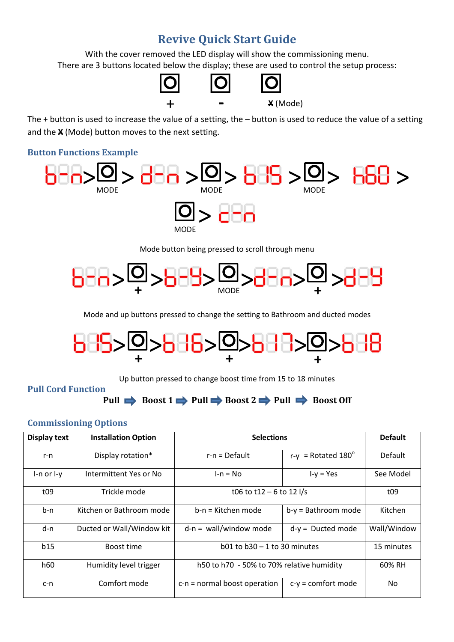# **Revive Quick Start Guide**

With the cover removed the LED display will show the commissioning menu. There are 3 buttons located below the display; these are used to control the setup process:



The + button is used to increase the value of a setting, the – button is used to reduce the value of a setting and the **X** (Mode) button moves to the next setting.

### **Button Functions Example**



Mode button being pressed to scroll through menu



Mode and up buttons pressed to change the setting to Bathroom and ducted modes



Up button pressed to change boost time from 15 to 18 minutes

# **Pull Cord Function**

**Pull**  $\rightarrow$  Boost 1  $\rightarrow$  Pull  $\rightarrow$  Boost 2  $\rightarrow$  Pull  $\rightarrow$  Boost 0ff

# **Commissioning Options**

| <b>Display text</b> | <b>Installation Option</b> | <b>Selections</b>                         |                                | <b>Default</b> |
|---------------------|----------------------------|-------------------------------------------|--------------------------------|----------------|
| r-n                 | Display rotation*          | $r-n = Default$                           | $r-v$ = Rotated 180 $^{\circ}$ | Default        |
| $l-n$ or $l-y$      | Intermittent Yes or No     | $l-n = No$                                | $I-y = Yes$                    | See Model      |
| t09                 | Trickle mode               | t06 to t12 - 6 to 12 $1/s$                |                                | t09            |
| b-n                 | Kitchen or Bathroom mode   | b-n = Kitchen mode                        | $b-y =$ Bathroom mode          | Kitchen        |
| d-n                 | Ducted or Wall/Window kit  | $d-n = wall/window mode$                  | $d-y =$ Ducted mode            | Wall/Window    |
| b15                 | Boost time                 | $b01$ to $b30 - 1$ to 30 minutes          |                                | 15 minutes     |
| h60                 | Humidity level trigger     | h50 to h70 - 50% to 70% relative humidity |                                | 60% RH         |
| $c-n$               | Comfort mode               | $c-n$ = normal boost operation            | $c-y =$ comfort mode           | No.            |